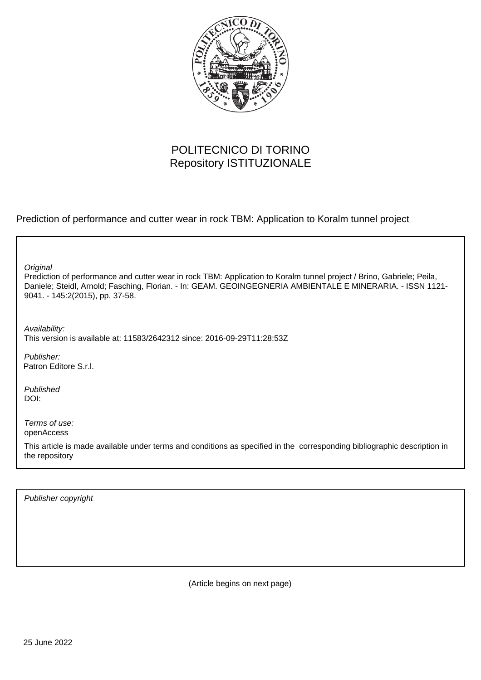

## POLITECNICO DI TORINO Repository ISTITUZIONALE

Prediction of performance and cutter wear in rock TBM: Application to Koralm tunnel project

Prediction of performance and cutter wear in rock TBM: Application to Koralm tunnel project / Brino, Gabriele; Peila, Daniele; Steidl, Arnold; Fasching, Florian. - In: GEAM. GEOINGEGNERIA AMBIENTALE E MINERARIA. - ISSN 1121- 9041. - 145:2(2015), pp. 37-58. **Original** Publisher: Availability: This version is available at: 11583/2642312 since: 2016-09-29T11:28:53Z Patron Editore S.r.l.

Published DOI:

Terms of use: openAccess

This article is made available under terms and conditions as specified in the corresponding bibliographic description in the repository

Publisher copyright

(Article begins on next page)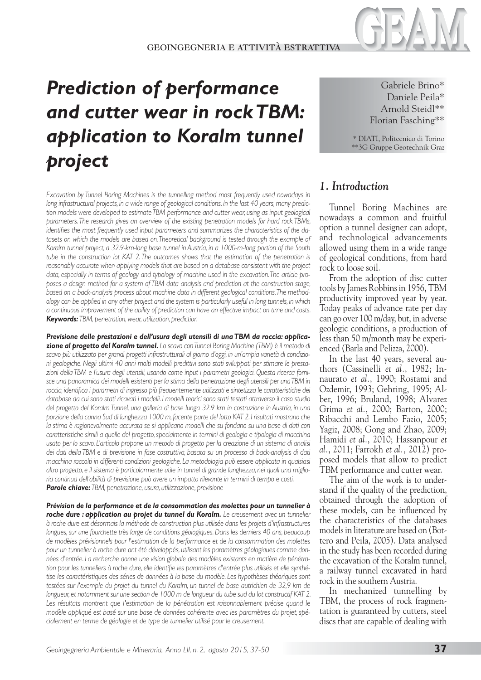# *Prediction of performance and cutter wear in rock TBM: application to Koralm tunnel project*

*Excavation by Tunnel Boring Machines is the tunnelling method most frequently used nowadays in long infrastructural projects, in a wide range of geological conditions. In the last 40 years, many prediction models were developed to estimate TBM performance and cutter wear, using as input geological parameters. The research gives an overview of the existing penetration models for hard rock TBMs, identifies the most frequently used input parameters and summarizes the characteristics of the datasets on which the models are based on. Theoretical background is tested through the example of Koralm tunnel project, a 32.9-km-long base tunnel in Austria, in a 1000-m-long portion of the South tube in the construction lot KAT 2. The outcomes shows that the estimation of the penetration is reasonably accurate when applying models that are based on a database consistent with the project data, especially in terms of geology and typology of machine used in the excavation. The article proposes a design method for a system of TBM data analysis and prediction at the construction stage, based on a back-analysis process about machine data in different geological conditions. The methodology can be applied in any other project and the system is particularly useful in long tunnels, in which a continuous improvement of the ability of prediction can have an effective impact on time and costs. Keywords: TBM, penetration, wear, utilization, prediction*

*Previsione delle prestazioni e dell'usura degli utensili di una TBM da roccia: applicazione al progetto del Koralm tunnel***.** *Lo scavo con Tunnel Boring Machine (TBM) è il metodo di scavo più utilizzato per grandi progetti infrastrutturali al giorno d'oggi, in un'ampia varietà di condizioni geologiche. Negli ultimi 40 anni molti modelli predittivi sono stati sviluppati per stimare le prestazioni della TBM e l'usura degli utensili, usando come input i parametri geologici. Questa ricerca fornisce una panoramica dei modelli esistenti per la stima della penetrazione degli utensili per una TBM in roccia, identifica i parametri di ingresso più frequentemente utilizzati e sintetizza le caratteristiche dei database da cui sono stati ricavati i modelli. I modelli teorici sono stati testati attraverso il caso studio del progetto del Koralm Tunnel, una galleria di base lunga 32.9 km in costruzione in Austria, in una porzione della canna Sud di lunghezza 1000 m, facente parte del lotto KAT 2. I risultati mostrano che la stima è ragionevolmente accurata se si applicano modelli che su fondano su una base di dati con caratteristiche simili a quelle del progetto, specialmente in termini di geologia e tipologia di macchina usato per lo scavo. L'articolo propone un metodo di progetto per la creazione di un sistema di analisi dei dati della TBM e di previsione in fase costruttiva, basata su un processo di back-analysis di dati macchina raccolti in differenti condizioni geologiche. La metodologia può essere applicata in qualsiasi altro progetto, e il sistema è particolarmente utile in tunnel di grande lunghezza, nei quali una miglioria continua dell'abilità di previsione può avere un impatto rilevante in termini di tempo e costi. Parole chiave: TBM, penetrazione, usura, utilizzazione, previsione*

*Prévision de la performance et de la consommation des molettes pour un tunnelier à roche dure : application au projet du tunnel du Koralm. Le creusement avec un tunnelier à roche dure est désormais la méthode de construction plus utilisée dans les projets d'infrastructures longues, sur une fourchette très large de conditions géologiques. Dans les derniers 40 ans, beaucoup de modèles prévisionnels pour l'estimation de la performance et de la consommation des molettes pour un tunnelier à roche dure ont été développés, utilisant les paramètres géologiques comme données d'entrée. La recherche donne une vision globale des modèles existants en matière de pénétration pour les tunneliers à roche dure, elle identifie les paramètres d'entrée plus utilisés et elle synthétise les caractéristiques des séries de données à la base du modèle. Les hypothèses théoriques sont*  testées sur l'exemple du projet du tunnel du Koralm, un tunnel de base autrichien de 32,9 km de *longueur, et notamment sur une section de 1000 m de longueur du tube sud du lot constructif KAT 2.* Les résultats montrent que l'estimation de la pénétration est raisonnablement précise quand le *modèle appliqué est basé sur une base de données cohérente avec les paramètres du projet, spécialement en terme de géologie et de type de tunnelier utilisé pour le creusement.*

Gabriele Brino\* Daniele Peila\* Arnold Steidl\*\* Florian Fasching\*\*

\* DIATI, Politecnico di Torino \*\*3G Gruppe Geotechnik Graz

### *1. Introduction*

Tunnel Boring Machines are nowadays a common and fruitful option a tunnel designer can adopt, and technological advancements allowed using them in a wide range of geological conditions, from hard rock to loose soil.

From the adoption of disc cutter tools by James Robbins in 1956, TBM productivity improved year by year. Today peaks of advance rate per day can go over 100 m/day, but, in adverse geologic conditions, a production of less than 50 m/month may be experienced (Barla and Pelizza, 2000).

In the last 40 years, several authors (Cassinelli *et al.*, 1982; Innaurato *et al.*, 1990; Rostami and Ozdemir, 1993; Gehring, 1995; Alber, 1996; Bruland, 1998; Alvarez Grima *et al.*, 2000; Barton, 2000; Ribacchi and Lembo Fazio, 2005; Yagiz, 2008; Gong and Zhao, 2009; Hamidi *et al.*, 2010; Hassanpour *et al.*, 2011; Farrokh *et al.,* 2012) proposed models that allow to predict TBM performance and cutter wear.

The aim of the work is to understand if the quality of the prediction, obtained through the adoption of these models, can be influenced by the characteristics of the databases models in literature are based on (Bottero and Peila, 2005). Data analysed in the study has been recorded during the excavation of the Koralm tunnel, a railway tunnel excavated in hard rock in the southern Austria.

In mechanized tunnelling by TBM, the process of rock fragmentation is guaranteed by cutters, steel discs that are capable of dealing with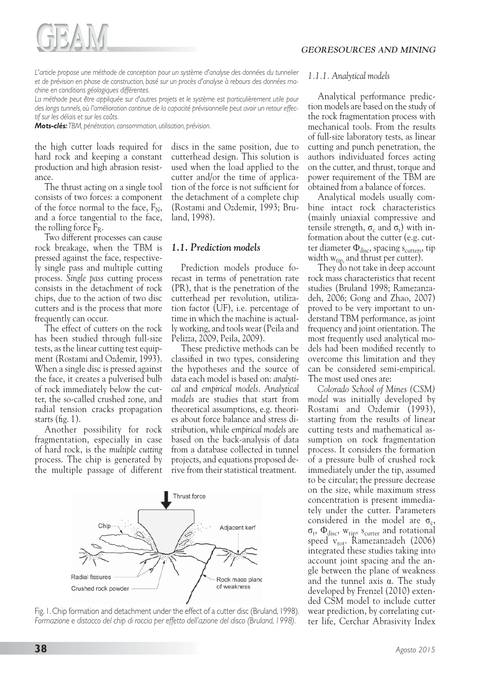

*L'article propose une méthode de conception pour un système d'analyse des données du tunnelier et de prévision en phase de construction, basé sur un procès d'analyse à rebours des données machine en conditions géologiques différentes.*

La méthode peut être appliquée sur d'autres projets et le système est particulièrement utile pour *des longs tunnels, où l'amélioration continue de la capacité prévisionnelle peut avoir un retour effectif sur les délais et sur les coûts.*

*Mots-clés: TBM, pénétration, consommation, utilisation, prévision.*

the high cutter loads required for hard rock and keeping a constant production and high abrasion resistance.

The thrust acting on a single tool consists of two forces: a component of the force normal to the face,  $F_N$ , and a force tangential to the face, the rolling force  $F_R$ .

Two different processes can cause rock breakage, when the TBM is pressed against the face, respectively single pass and multiple cutting process. *Single pass* cutting process consists in the detachment of rock chips, due to the action of two disc cutters and is the process that more frequently can occur.

The effect of cutters on the rock has been studied through full-size tests, as the linear cutting test equipment (Rostami and Ozdemir, 1993). When a single disc is pressed against the face, it creates a pulverised bulb of rock immediately below the cutter, the so-called crushed zone, and radial tension cracks propagation starts (fig. 1).

Another possibility for rock fragmentation, especially in case of hard rock, is the *multiple cutting* process. The chip is generated by the multiple passage of different discs in the same position, due to cutterhead design. This solution is used when the load applied to the cutter and/or the time of application of the force is not sufficient for the detachment of a complete chip (Rostami and Ozdemir, 1993; Bruland, 1998).

#### *1.1. Prediction models*

Prediction models produce forecast in terms of penetration rate (PR), that is the penetration of the cutterhead per revolution, utilization factor (UF), i.e. percentage of time in which the machine is actually working, and tools wear (Peila and Pelizza, 2009, Peila, 2009).

These predictive methods can be classified in two types, considering the hypotheses and the source of data each model is based on: *analytical* and *empirical models*. *Analytical models* are studies that start from theoretical assumptions, e.g. theories about force balance and stress distribution, while e*mpirical models* are based on the back-analysis of data from a database collected in tunnel projects, and equations proposed derive from their statistical treatment.



Fig. 1. Chip formation and detachment under the effect of a cutter disc (Bruland, 1998). *Formazione e distacco del chip di roccia per effetto dell'azione del disco (Bruland, 1998).*

#### *1.1.1. Analytical models*

Analytical performance prediction models are based on the study of the rock fragmentation process with mechanical tools. From the results of full-size laboratory tests, as linear cutting and punch penetration, the authors individuated forces acting on the cutter, and thrust, torque and power requirement of the TBM are obtained from a balance of forces.

Analytical models usually combine intact rock characteristics (mainly uniaxial compressive and tensile strength,  $\sigma_c$  and  $\sigma_t$ ) with information about the cutter (e.g. cutter diameter  $\Phi_{\text{disc}}$ , spacing s<sub>cutters</sub>, tip width  $w_{tip}$  and thrust per cutter).

They do not take in deep account rock mass characteristics that recent studies (Bruland 1998; Ramezanzadeh, 2006; Gong and Zhao, 2007) proved to be very important to understand TBM performance, as joint frequency and joint orientation. The most frequently used analytical models had been modified recently to overcome this limitation and they can be considered semi-empirical. The most used ones are:

*Colorado School of Mines (CSM) model* was initially developed by Rostami and Ozdemir (1993), starting from the results of linear cutting tests and mathematical assumption on rock fragmentation process. It considers the formation of a pressure bulb of crushed rock immediately under the tip, assumed to be circular; the pressure decrease on the size, while maximum stress concentration is present immediately under the cutter. Parameters considered in the model are  $\sigma_c$ ,  $\sigma_t$ ,  $\Phi_{disc}$ ,  $w_{tip}$ ,  $s_{cutter}$  and rotational speed v<sub>rot</sub>. Ramezanzadeh (2006) integrated these studies taking into account joint spacing and the angle between the plane of weakness and the tunnel axis  $\alpha$ . The study developed by Frenzel (2010) extended CSM model to include cutter wear prediction, by correlating cutter life, Cerchar Abrasivity Index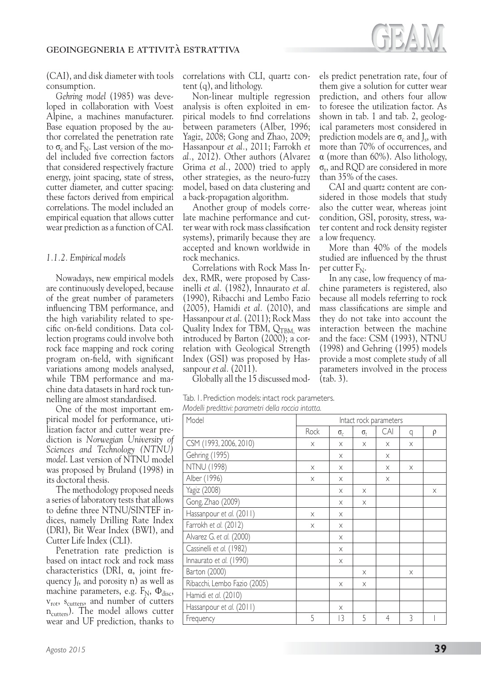

(CAI), and disk diameter with tools consumption.

*Gehring model* (1985) was developed in collaboration with Voest Alpine, a machines manufacturer. Base equation proposed by the author correlated the penetration rate to  $\sigma_c$  and  $F_N$ . Last version of the model included five correction factors that considered respectively fracture energy, joint spacing, state of stress, cutter diameter, and cutter spacing: these factors derived from empirical correlations. The model included an empirical equation that allows cutter wear prediction as a function of CAI.

#### *1.1.2. Empirical models*

Nowadays, new empirical models are continuously developed, because of the great number of parameters influencing TBM performance, and the high variability related to specific on-field conditions. Data collection programs could involve both rock face mapping and rock coring program on-field, with significant variations among models analysed, while TBM performance and machine data datasets in hard rock tunnelling are almost standardised.

One of the most important empirical model for performance, utilization factor and cutter wear prediction is *Norwegian University of Sciences and Technology (NTNU) model*. Last version of NTNU model was proposed by Bruland (1998) in its doctoral thesis.

The methodology proposed needs a series of laboratory tests that allows to define three NTNU/SINTEF indices, namely Drilling Rate Index (DRI), Bit Wear Index (BWI), and Cutter Life Index (CLI).

Penetration rate prediction is based on intact rock and rock mass characteristics (DRI,  $\alpha$ , joint frequency  $J_f$ , and porosity n) as well as machine parameters, e.g.  $F_N$ ,  $\Phi_{disc}$ ,  $v_{\rm rot}$ ,  $s_{\rm cutters}$ , and number of cutters n<sub>cutters</sub>). The model allows cutter wear and UF prediction, thanks to

Non-linear multiple regression analysis is often exploited in empirical models to find correlations between parameters (Alber, 1996; Yagiz, 2008; Gong and Zhao, 2009; Hassanpour *et al.*, 2011; Farrokh *et al.*, 2012). Other authors (Alvarez Grima *et al.*, 2000) tried to apply other strategies, as the neuro-fuzzy model, based on data clustering and a back-propagation algorithm.

Another group of models correlate machine performance and cutter wear with rock mass classification systems), primarily because they are accepted and known worldwide in rock mechanics.

Correlations with Rock Mass Index, RMR, were proposed by Cassinelli *et al.* (1982), Innaurato *et al.* (1990), Ribacchi and Lembo Fazio (2005), Hamidi *et al.* (2010), and Hassanpour *et al.* (2011); Rock Mass Quality Index for TBM,  $Q_{\text{TBM}}$ , was introduced by Barton (2000); a correlation with Geological Strength Index (GSI) was proposed by Hassanpour *et al.* (2011).

Globally all the 15 discussed mod-

|                                                     | Tab. I. Prediction models: intact rock parameters. |
|-----------------------------------------------------|----------------------------------------------------|
| Modelli predittivi: parametri della roccia intatta. |                                                    |

| Model                        | Intact rock parameters |            |              |                |   |   |
|------------------------------|------------------------|------------|--------------|----------------|---|---|
|                              | Rock                   | $\sigma_c$ | $\sigma_{t}$ | CAI            | q | ρ |
| CSM (1993, 2006, 2010)       | X                      | X          | $\times$     | X              | X |   |
| Gehring (1995)               |                        | X          |              | X              |   |   |
| <b>NTNU (1998)</b>           | X                      | X          |              | X              | X |   |
| Alber (1996)                 | X                      | X          |              | X              |   |   |
| Yagiz (2008)                 |                        | X          | $\times$     |                |   | X |
| Gong, Zhao (2009)            |                        | X          | $\times$     |                |   |   |
| Hassanpour et al. (2011)     | X                      | X          |              |                |   |   |
| Farrokh et al. (2012)        | X                      | X          |              |                |   |   |
| Alvarez G. et al. (2000)     |                        | X          |              |                |   |   |
| Cassinelli et al. (1982)     |                        | X          |              |                |   |   |
| Innaurato et al. (1990)      |                        | X          |              |                |   |   |
| Barton (2000)                |                        |            | $\times$     |                | X |   |
| Ribacchi, Lembo Fazio (2005) |                        | X          | X            |                |   |   |
| Hamidi et al. (2010)         |                        |            |              |                |   |   |
| Hassanpour et al. (2011)     |                        | X          |              |                |   |   |
| Frequency                    | 5                      | 3          | 5            | $\overline{4}$ | 3 |   |

els predict penetration rate, four of them give a solution for cutter wear prediction, and others four allow to foresee the utilization factor. As shown in tab. 1 and tab. 2, geological parameters most considered in prediction models are  $\sigma_c$  and J<sub>s</sub>, with more than 70% of occurrences, and  $\alpha$  (more than 60%). Also lithology,  $\sigma_t$ , and ROD are considered in more than 35% of the cases.

CAI and quartz content are considered in those models that study also the cutter wear, whereas joint condition, GSI, porosity, stress, water content and rock density register a low frequency.

More than 40% of the models studied are influenced by the thrust per cutter  $F_N$ .

In any case, low frequency of machine parameters is registered, also because all models referring to rock mass classifications are simple and they do not take into account the interaction between the machine and the face: CSM (1993), NTNU (1998) and Gehring (1995) models provide a most complete study of all parameters involved in the process (tab. 3).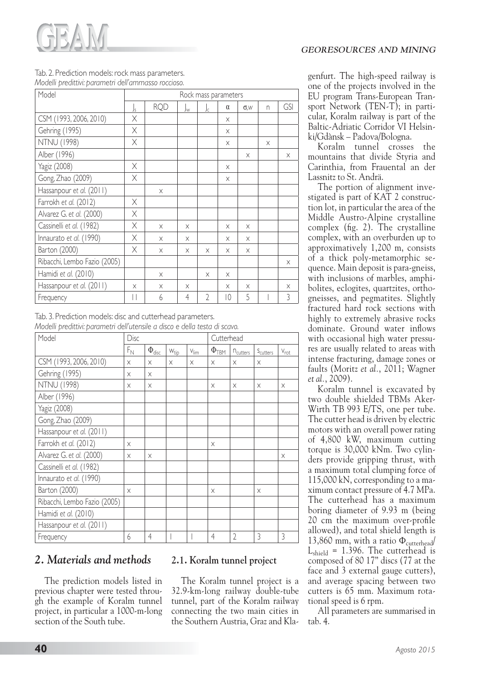

#### Tab. 2. Prediction models: rock mass parameters. *Modelli predittivi: parametri dell'ammasso roccioso.*

| Model                        | Rock mass parameters |            |                |                |          |              |          |            |
|------------------------------|----------------------|------------|----------------|----------------|----------|--------------|----------|------------|
|                              | Js                   | <b>RQD</b> | Jw             | Jc             | $\alpha$ | $\sigma$ , W | n        | <b>GSI</b> |
| CSM (1993, 2006, 2010)       | Χ                    |            |                |                | X        |              |          |            |
| Gehring (1995)               | Χ                    |            |                |                | X        |              |          |            |
| <b>NTNU (1998)</b>           | X                    |            |                |                | X        |              | $\times$ |            |
| Alber (1996)                 |                      |            |                |                |          | X            |          | X          |
| Yagiz (2008)                 | Χ                    |            |                |                | $\times$ |              |          |            |
| Gong, Zhao (2009)            | X                    |            |                |                | X        |              |          |            |
| Hassanpour et al. (2011)     |                      | $\times$   |                |                |          |              |          |            |
| Farrokh et al. (2012)        | X                    |            |                |                |          |              |          |            |
| Alvarez G. et al. (2000)     | X                    |            |                |                |          |              |          |            |
| Cassinelli et al. (1982)     | X                    | X          | X              |                | X        | X            |          |            |
| Innaurato et al. (1990)      | Χ                    | X          | $\times$       |                | X        | X            |          |            |
| Barton (2000)                | X                    | X          | $\times$       | X              | X        | $\times$     |          |            |
| Ribacchi, Lembo Fazio (2005) |                      |            |                |                |          |              |          | X          |
| Hamidi et al. (2010)         |                      | X          |                | X              | X        |              |          |            |
| Hassanpour et al. (2011)     | X                    | X          | X              |                | X        | X            |          | X          |
| Frequency                    | $\mathsf{I}$         | 6          | $\overline{4}$ | $\overline{2}$ | 10       | 5            |          | 3          |

Tab. 3. Prediction models: disc and cutterhead parameters.

*Modelli predittivi: parametri dell'utensile a disco e della testa di scavo.*

| Model                        | Disc     |                      |           | Cutterhead       |                     |                      |                      |                  |
|------------------------------|----------|----------------------|-----------|------------------|---------------------|----------------------|----------------------|------------------|
|                              | $F_{N}$  | $\Phi_{\text{disc}}$ | $W_{tip}$ | $V_{\text{lim}}$ | $\Phi_{\text{TBM}}$ | n <sub>cutters</sub> | S <sub>cutters</sub> | $V_{\text{rot}}$ |
| CSM (1993, 2006, 2010)       | $\times$ | $\times$             | $\times$  | $\times$         | X                   | $\times$             | X                    |                  |
| Gehring (1995)               | $\times$ | X                    |           |                  |                     |                      |                      |                  |
| <b>NTNU (1998)</b>           | X        | X                    |           |                  | X                   | X                    | X                    | X                |
| Alber (1996)                 |          |                      |           |                  |                     |                      |                      |                  |
| Yagiz (2008)                 |          |                      |           |                  |                     |                      |                      |                  |
| Gong, Zhao (2009)            |          |                      |           |                  |                     |                      |                      |                  |
| Hassanpour et al. (2011)     |          |                      |           |                  |                     |                      |                      |                  |
| Farrokh et al. (2012)        | $\times$ |                      |           |                  | $\times$            |                      |                      |                  |
| Alvarez G. et al. (2000)     | $\times$ | X                    |           |                  |                     |                      |                      | X                |
| Cassinelli et al. (1982)     |          |                      |           |                  |                     |                      |                      |                  |
| Innaurato et al. (1990)      |          |                      |           |                  |                     |                      |                      |                  |
| Barton (2000)                | $\times$ |                      |           |                  | $\times$            |                      | X                    |                  |
| Ribacchi, Lembo Fazio (2005) |          |                      |           |                  |                     |                      |                      |                  |
| Hamidi et al. (2010)         |          |                      |           |                  |                     |                      |                      |                  |
| Hassanpour et al. (2011)     |          |                      |           |                  |                     |                      |                      |                  |
| Frequency                    | 6        | 4                    |           |                  | 4                   | $\overline{2}$       | 3                    | 3                |

## *2. Materials and methods*

The prediction models listed in previous chapter were tested through the example of Koralm tunnel project, in particular a 1000-m-long section of the South tube.

## **2.1. Koralm tunnel project**

The Koralm tunnel project is a 32.9-km-long railway double-tube tunnel, part of the Koralm railway connecting the two main cities in the Southern Austria, Graz and Klagenfurt. The high-speed railway is one of the projects involved in the EU program Trans-European Transport Network (TEN-T); in particular, Koralm railway is part of the Baltic-Adriatic Corridor VI Helsinki/Gdànsk – Padova/Bologna.

Koralm tunnel crosses the mountains that divide Styria and Carinthia, from Frauental an der Lassnitz to St. Andrä.

The portion of alignment investigated is part of KAT 2 construction lot, in particular the area of the Middle Austro-Alpine crystalline complex (fig. 2). The crystalline complex, with an overburden up to approximatively 1,200 m, consists of a thick poly-metamorphic sequence. Main deposit is para-gneiss, with inclusions of marbles, amphibolites, eclogites, quartzites, orthogneisses, and pegmatites. Slightly fractured hard rock sections with highly to extremely abrasive rocks dominate. Ground water inflows with occasional high water pressures are usually related to areas with intense fracturing, damage zones or faults (Moritz *et al.*, 2011; Wagner *et al.*, 2009).

Koralm tunnel is excavated by two double shielded TBMs Aker-Wirth TB 993 E/TS, one per tube. The cutter head is driven by electric motors with an overall power rating of 4,800 kW, maximum cutting torque is 30,000 kNm. Two cylinders provide gripping thrust, with a maximum total clumping force of 115,000 kN, corresponding to a maximum contact pressure of 4.7 MPa. The cutterhead has a maximum boring diameter of 9.93 m (being 20 cm the maximum over-profile allowed), and total shield length is 13,860 mm, with a ratio  $\Phi_{\text{cutterhead}}/$  $L_{\text{shield}}$  = 1.396. The cutterhead is composed of 80 17" discs (77 at the face and 3 external gauge cutters), and average spacing between two cutters is 65 mm. Maximum rotational speed is 6 rpm.

All parameters are summarised in tab. 4.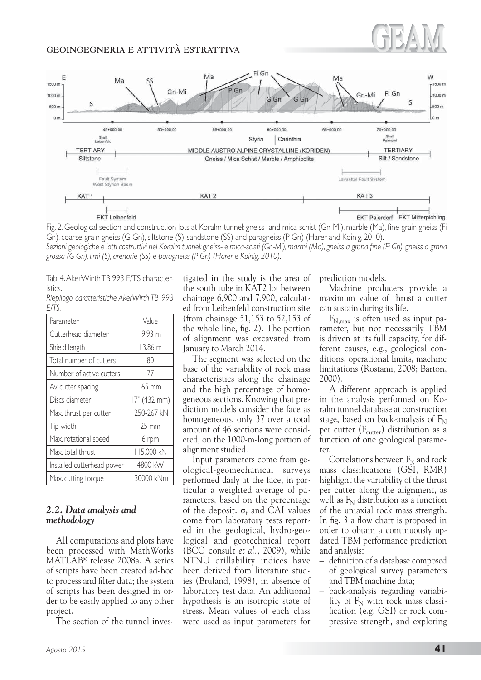

Fig. 2. Geological section and construction lots at Koralm tunnel: gneiss- and mica-schist (Gn-Mi), marble (Ma), fine-grain gneiss (Fi Gn), coarse-grain gneiss (G Gn), siltstone (S), sandstone (SS) and paragneiss (P Gn) (Harer and Koinig, 2010). *Sezioni geologiche e lotti costruttivi nel Koralm tunnel: gneiss- e mica-scisti (Gn-Mi), marmi (Ma), gneiss a grana fine (Fi Gn), gneiss a grana grossa (G Gn), limi (S), arenarie (SS) e paragneiss (P Gn) (Harer e Koinig, 2010).*

Tab. 4. AkerWirth TB 993 E/TS characteristics.

*Riepilogo caratteristiche AkerWirth TB 993 E/TS.*

| Parameter                  | Value             |
|----------------------------|-------------------|
| Cutterhead diameter        | 9.93 m            |
| Shield length              | 13.86 m           |
| Total number of cutters    | 80                |
| Number of active cutters   | 77                |
| Av. cutter spacing         | $65 \text{ mm}$   |
| Discs diameter             | 17" (432 mm)      |
| Max. thrust per cutter     | 250-267 kN        |
| Tip width                  | $25 \, \text{mm}$ |
| Max. rotational speed      | 6 rpm             |
| Max. total thrust          | 115,000 kN        |
| Installed cutterhead power | 4800 kW           |
| Max. cutting torque        | 30000 kNm         |

#### *2.2. Data analysis and methodology*

All computations and plots have been processed with MathWorks MATLAB® release 2008a. A series of scripts have been created ad-hoc to process and filter data; the system of scripts has been designed in order to be easily applied to any other project.

The section of the tunnel inves-

tigated in the study is the area of the south tube in KAT2 lot between chainage 6,900 and 7,900, calculated from Leibenfeld construction site (from chainage 51,153 to 52,153 of the whole line, fig. 2). The portion of alignment was excavated from January to March 2014.

The segment was selected on the base of the variability of rock mass characteristics along the chainage and the high percentage of homogeneous sections. Knowing that prediction models consider the face as homogeneous, only 37 over a total amount of 46 sections were considered, on the 1000-m-long portion of alignment studied.

Input parameters come from geological-geomechanical surveys performed daily at the face, in particular a weighted average of parameters, based on the percentage of the deposit.  $\sigma_r$  and CAI values come from laboratory tests reported in the geological, hydro-geological and geotechnical report (BCG consult *et al.*, 2009), while NTNU drillability indices have been derived from literature studies (Bruland, 1998), in absence of laboratory test data. An additional hypothesis is an isotropic state of stress. Mean values of each class were used as input parameters for prediction models.

Machine producers provide a maximum value of thrust a cutter can sustain during its life.

 $F_{N,\text{max}}$  is often used as input parameter, but not necessarily TBM is driven at its full capacity, for different causes, e.g., geological conditions, operational limits, machine limitations (Rostami, 2008; Barton, 2000).

A different approach is applied in the analysis performed on Koralm tunnel database at construction stage, based on back-analysis of  $F_N$ per cutter  $(F<sub>cutter</sub>)$  distribution as a function of one geological parameter.

Correlations between  $F_N$  and rock mass classifications (GSI, RMR) highlight the variability of the thrust per cutter along the alignment, as well as  $F_N$  distribution as a function of the uniaxial rock mass strength. In fig. 3 a flow chart is proposed in order to obtain a continuously updated TBM performance prediction and analysis:

- definition of a database composed of geological survey parameters and TBM machine data;
- back-analysis regarding variability of  $F_N$  with rock mass classification (e.g. GSI) or rock compressive strength, and exploring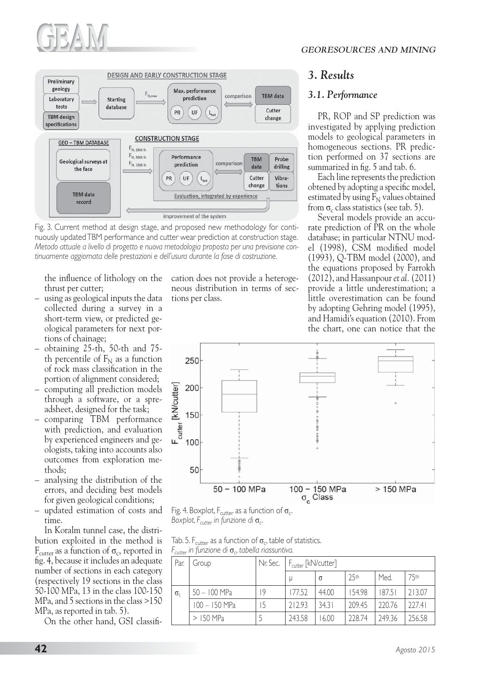



Fig. 3. Current method at design stage, and proposed new methodology for continuously updated TBM performance and cutter wear prediction at construction stage. *Metodo attuale a livello di progetto e nuova metodologia proposta per una previsione continuamente aggiornata delle prestazioni e dell'usura durante la fase di costruzione.*

the influence of lithology on the thrust per cutter;

- using as geological inputs the data collected during a survey in a short-term view, or predicted geological parameters for next portions of chainage;
- obtaining 25-th, 50-th and 75 th percentile of  $F_N$  as a function of rock mass classification in the portion of alignment considered;
- computing all prediction models through a software, or a spreadsheet, designed for the task;
- comparing TBM performance with prediction, and evaluation by experienced engineers and geologists, taking into accounts also outcomes from exploration methods;
- analysing the distribution of the errors, and deciding best models for given geological conditions;
- updated estimation of costs and time.

In Koralm tunnel case, the distribution exploited in the method is  $F_{\text{cutter}}$  as a function of  $\sigma_c$ , reported in fig. 4, because it includes an adequate number of sections in each category (respectively 19 sections in the class 50-100 MPa, 13 in the class 100-150 MPa, and 5 sections in the class >150 MPa, as reported in tab. 5).

On the other hand, GSI classifi-

cation does not provide a heterogeneous distribution in terms of sections per class.

## *3. Results*

#### *3.1. Performance*

PR, ROP and SP prediction was investigated by applying prediction models to geological parameters in homogeneous sections. PR prediction performed on 37 sections are summarized in fig. 5 and tab. 6.

Each line represents the prediction obtened by adopting a specific model, estimated by using  $F_N$  values obtained from  $\sigma_c$  class statistics (see tab. 5).

Several models provide an accurate prediction of PR on the whole database; in particular NTNU model (1998), CSM modified model (1993), Q-TBM model (2000), and the equations proposed by Farrokh (2012), and Hassanpour *et al.* (2011) provide a little underestimation; a little overestimation can be found by adopting Gehring model (1995), and Hamidi's equation (2010). From the chart, one can notice that the



Fig. 4. Boxplot,  $F_{\text{cutter}}$  as a function of  $\sigma_{\text{c}}$ . *Boxplot, F<sub>cutter</sub> in funzione di* σ<sub>c</sub>.

Tab. 5. F<sub>cutter</sub> as a function of  $\sigma_c$ , table of statistics. *F<sub>cutter</sub>* in funzione di **σ**<sub>c</sub>, tabella riassuntiva.

| Par.         | Group           | Nr. Sec. | $F_{\text{cutter}}$ [kN/cutter] |          |        |        |        |
|--------------|-----------------|----------|---------------------------------|----------|--------|--------|--------|
|              |                 |          | u                               | $\sigma$ | 25th   | Med.   | 75th   |
| $\sigma_{c}$ | 50 - 100 MPa    | 19       | 177.52                          | 44.00    | 154.98 | 187.51 | 213.07 |
|              | $100 - 150$ MPa | 15       | 212.93                          | 34.31    | 209.45 | 220.76 | 777.41 |
|              | $>$ 150 MPa     |          | 243.58                          | 6.00     | 228.74 | 249.36 | 256.58 |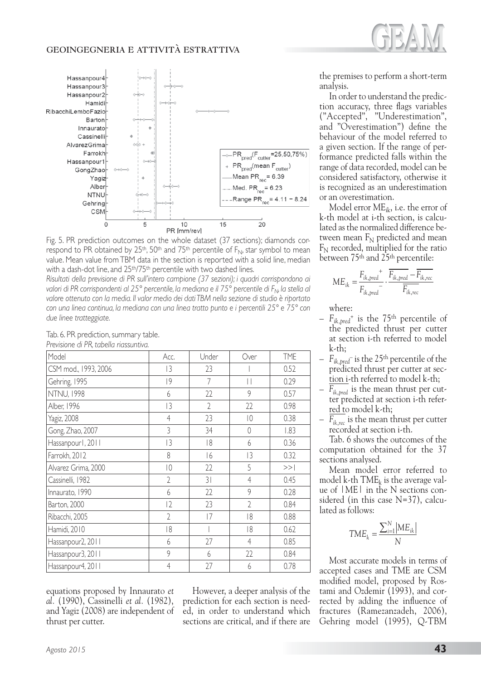

Fig. 5. PR prediction outcomes on the whole dataset (37 sections); diamonds correspond to PR obtained by 25<sup>th</sup>, 50<sup>th</sup> and 75<sup>th</sup> percentile of  $F_N$ , star symbol to mean value. Mean value from TBM data in the section is reported with a solid line, median with a dash-dot line, and 25<sup>th</sup>/75<sup>th</sup> percentile with two dashed lines.

*Risultati della previsione di PR sull'intero campione (37 sezioni); i quadri corrispondono ai*  valori di PR corrispondenti al 25<sup>°</sup> percentile, la mediana e il 75<sup>°</sup> percentile di F<sub>N</sub>, la stella al *valore ottenuto con la media. Il valor medio dei dati TBM nella sezione di studio è riportato con una linea continua, la mediana con una linea tratto punto e i percentili 25° e 75° con due linee tratteggiate.*

| Acc.           | Under          | Over           | <b>TME</b> |
|----------------|----------------|----------------|------------|
| 3              | 23             |                | 0.52       |
| 9              | 7              | П              | 0.29       |
| 6              | 22             | 9              | 0.57       |
| 3              | $\overline{2}$ | 22             | 0.98       |
| $\overline{4}$ | 23             | $ 0\rangle$    | 0.38       |
| 3              | 34             | $\sqrt{a}$     | 1.83       |
| 3              | 18             | 6              | 0.36       |
| 8              | 6              | 13             | 0.32       |
| $ 0\rangle$    | 22             | 5              | >>         |
| $\overline{2}$ | 31             | $\overline{4}$ | 0.45       |
| 6              | 22             | 9              | 0.28       |
| $ 2\rangle$    | 23             | $\overline{2}$ | 0.84       |
| $\overline{2}$ | 7              | 18             | 0.88       |
| 18             |                | 18             | 0.62       |
| 6              | 27             | $\overline{4}$ | 0.85       |
| 9              | 6              | 22             | 0.84       |
| $\overline{4}$ | 27             | 6              | 0.78       |
|                |                |                |            |

Tab. 6. PR prediction, summary table. *Previsione di PR, tabella riassuntiva.*

equations proposed by Innaurato *et al.* (1990), Cassinelli *et al.* (1982), and Yagiz (2008) are independent of thrust per cutter.

However, a deeper analysis of the prediction for each section is needed, in order to understand which sections are critical, and if there are the premises to perform a short-term analysis.

In order to understand the prediction accuracy, three flags variables ("Accepted", "Underestimation", and "Overestimation") define the behaviour of the model referred to a given section. If the range of performance predicted falls within the range of data recorded, model can be considered satisfactory, otherwise it is recognized as an underestimation or an overestimation.

Model error  $ME_{ik}$ , i.e. the error of k-th model at i-th section, is calculated as the normalized difference between mean  $F_N$  predicted and mean  $F_N$  recorded, multiplied for the ratio between 75<sup>th</sup> and 25<sup>th</sup> percentile:

$$
ME_{ik} = \frac{F_{ik, pred}}{F_{ik, pred}} - \frac{F_{ik, pred}}{F_{ik, rec}} - \frac{F_{ik, rec}}{F_{ik, rec}}
$$

where:

- $F_{ik,pred}$ <sup>+</sup> is the 75<sup>th</sup> percentile of the predicted thrust per cutter at section i-th referred to model k-th;
- $F_{ik,pred}$ <sup>-</sup> is the 25<sup>th</sup> percentile of the predicted thrust per cutter at section i-th referred to model k-th;
- $F_{ik,bred}$  is the mean thrust per cutter predicted at section i-th referred to model k-th;
- $F_{ik,rec}$  is the mean thrust per cutter recorded at section i-th.

Tab. 6 shows the outcomes of the computation obtained for the 37 sections analysed.

Mean model error referred to model k-th  $\text{TME}_k$  is the average value of |ME| in the N sections considered (in this case N=37), calculated as follows:

$$
TME_k = \frac{\sum_{i=1}^{N} \left|ME_{ik}\right|}{N}
$$

Most accurate models in terms of accepted cases and TME are CSM modified model, proposed by Rostami and Ozdemir (1993), and corrected by adding the influence of fractures (Ramezanzadeh, 2006), Gehring model (1995), Q-TBM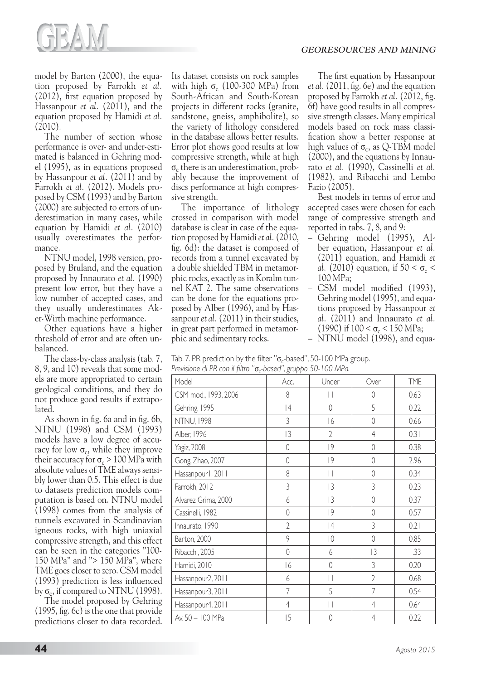

model by Barton (2000), the equation proposed by Farrokh *et al.* (2012), first equation proposed by Hassanpour *et al.* (2011), and the equation proposed by Hamidi *et al.* (2010).

The number of section whose performance is over- and under-estimated is balanced in Gehring model (1995), as in equations proposed by Hassanpour *et al.* (2011) and by Farrokh *et al.* (2012). Models proposed by CSM (1993) and by Barton (2000) are subjected to errors of underestimation in many cases, while equation by Hamidi *et al.* (2010) usually overestimates the performance.

NTNU model, 1998 version, proposed by Bruland, and the equation proposed by Innaurato *et al.* (1990) present low error, but they have a low number of accepted cases, and they usually underestimates Aker-Wirth machine performance.

Other equations have a higher threshold of error and are often unbalanced.

The class-by-class analysis (tab. 7, 8, 9, and 10) reveals that some models are more appropriated to certain geological conditions, and they do not produce good results if extrapolated.

As shown in fig. 6a and in fig. 6b, NTNU (1998) and CSM (1993) models have a low degree of accuracy for low  $\sigma_c$ , while they improve their accuracy for  $\sigma_c$  > 100 MPa with absolute values of TME always sensibly lower than 0.5. This effect is due to datasets prediction models computation is based on. NTNU model (1998) comes from the analysis of tunnels excavated in Scandinavian igneous rocks, with high uniaxial compressive strength, and this effect can be seen in the categories "100- 150 MPa" and "> 150 MPa", where TME goes closer to zero. CSM model (1993) prediction is less influenced by  $\sigma_c$ , if compared to NTNU (1998).

The model proposed by Gehring (1995, fig. 6c) is the one that provide predictions closer to data recorded.

Its dataset consists on rock samples with high  $\sigma_c$  (100-300 MPa) from South-African and South-Korean projects in different rocks (granite, sandstone, gneiss, amphibolite), so the variety of lithology considered in the database allows better results. Error plot shows good results at low compressive strength, while at high  $\sigma_c$  there is an underestimation, probably because the improvement of discs performance at high compressive strength.

The importance of lithology crossed in comparison with model database is clear in case of the equation proposed by Hamidi *et al.* (2010, fig. 6d): the dataset is composed of records from a tunnel excavated by a double shielded TBM in metamorphic rocks, exactly as in Koralm tunnel KAT 2. The same observations can be done for the equations proposed by Alber (1996), and by Hassanpour *et al.* (2011) in their studies, in great part performed in metamorphic and sedimentary rocks.

The first equation by Hassanpour *et al.* (2011, fig. 6e) and the equation proposed by Farrokh *et al.* (2012, fig. 6f) have good results in all compressive strength classes. Many empirical models based on rock mass classification show a better response at high values of  $\sigma_c$ , as Q-TBM model (2000), and the equations by Innaurato *et al.* (1990), Cassinelli *et al.* (1982), and Ribacchi and Lembo Fazio (2005).

Best models in terms of error and accepted cases were chosen for each range of compressive strength and reported in tabs. 7, 8, and 9:

- Gehring model (1995), Alber equation, Hassanpour *et al.* (2011) equation, and Hamidi *et al.* (2010) equation, if  $50 < \sigma_c$ 100 MPa;
- CSM model modified (1993), Gehring model (1995), and equations proposed by Hassanpour *et al.* (2011) and Innaurato *et al.* (1990) if  $100 < \sigma_c < 150$  MPa;
- NTNU model (1998), and equa-

Tab. 7. PR prediction by the filter " $\sigma_c$ -based", 50-100 MPa group. Previsione di PR con il filtro " $\sigma$ -based", gruppo 50-100 MPa.

| Model                | $\cdots$<br>Acc. | Under                                 | Over           | <b>TME</b> |
|----------------------|------------------|---------------------------------------|----------------|------------|
| CSM mod., 1993, 2006 | 8                | $\vert \, \vert$                      | $\mathbf 0$    | 0.63       |
| Gehring, 1995        | 4                | $\overline{0}$                        | 5              | 0.22       |
| <b>NTNU, 1998</b>    | 3                | 16                                    | $\mathbf 0$    | 0.66       |
| Alber, 1996          | 3                | $\overline{2}$                        | $\overline{4}$ | 0.31       |
| <b>Yagiz</b> , 2008  | $\theta$         | 9                                     | 0              | 0.38       |
| Gong, Zhao, 2007     | $\sqrt{ }$       | 9                                     | $\sqrt{a}$     | 2.96       |
| Hassanpourl, 2011    | 8                | $\begin{array}{c} \hline \end{array}$ | $\mathbf 0$    | 0.34       |
| Farrokh, 2012        | 3                | 3                                     | 3              | 0.23       |
| Alvarez Grima, 2000  | 6                | 3                                     | $\overline{0}$ | 0.37       |
| Cassinelli, 1982     | $\overline{0}$   | 9                                     | 0              | 0.57       |
| Innaurato, 1990      | $\overline{2}$   | 4                                     | 3              | 0.21       |
| Barton, 2000         | 9                | $ 0\rangle$                           | $\Omega$       | 0.85       |
| Ribacchi, 2005       | 0                | 6                                     | 13             | 1.33       |
| Hamidi, 2010         | 6                | 0                                     | 3              | 0.20       |
| Hassanpour2, 2011    | 6                | $\vert \, \vert$                      | $\overline{2}$ | 0.68       |
| Hassanpour3, 2011    | 7                | 5                                     | 7              | 0.54       |
| Hassanpour4, 2011    | $\overline{4}$   | $\begin{array}{c} \hline \end{array}$ | $\overline{4}$ | 0.64       |
| Av. 50 - 100 MPa     | 5                | 0                                     | $\overline{4}$ | 0.22       |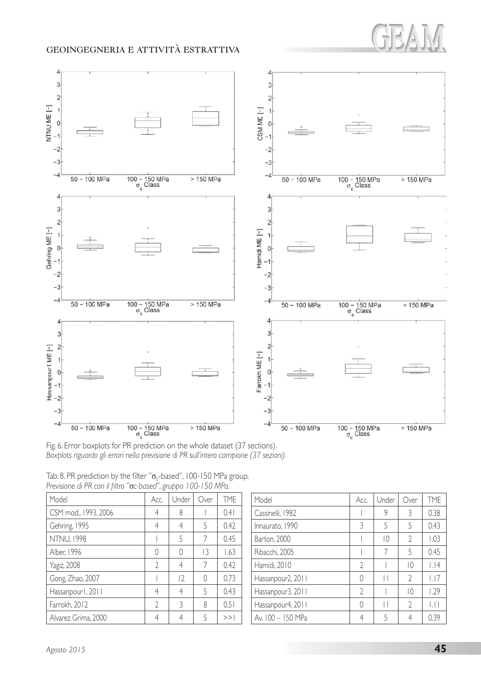



Fig. 6. Error boxplots for PR prediction on the whole dataset (37 sections). *Boxplots riguardo gli errori nella previsione di PR sull'intero campione (37 sezioni).*

| Model                | Acc.           | Under       | Over | <b>TME</b> |
|----------------------|----------------|-------------|------|------------|
| CSM mod., 1993, 2006 | 4              | 8           |      | 0.41       |
| Gehring, 1995        | 4              | 4           | 5    | 0.42       |
| <b>NTNU, 1998</b>    |                | 5           |      | 0.45       |
| Alber, 1996          |                | 0           | 3    | 1.63       |
| <b>Yagiz</b> , 2008  | $\mathfrak{D}$ | 4           | 7    | 0.42       |
| Gong, Zhao, 2007     |                | $ 2\rangle$ | ∩    | 0.73       |
| Hassanpourl, 2011    | 4              | 4           | 5    | 0.43       |
| Farrokh, 2012        | $\gamma$       | 3           | 8    | 0.51       |
| Alvarez Grima, 2000  |                | 4           | 5    | >>         |

| Tab. 8. PR prediction by the filter " $\sigma_c$ -based", 100-150 MPa group. |  |  |
|------------------------------------------------------------------------------|--|--|
| Previsione di PR con il filtro "oc-based", gruppo 100-150 MPa.               |  |  |

| Model             | Acc.           | Under | Over           | <b>TME</b>                |
|-------------------|----------------|-------|----------------|---------------------------|
| Cassinelli, 1982  |                | 9     | 3              | 0.38                      |
| Innaurato, 1990   | 3              | 5     | 5              | 0.43                      |
| Barton, 2000      |                | 10    | $\mathfrak{I}$ | 1.03                      |
| Ribacchi, 2005    |                |       | 5              | 0.45                      |
| Hamidi, 2010      | 2              |       | 10             | . 4                       |
| Hassanpour2, 2011 | Λ              | Н     | $\mathfrak{I}$ | 1.17                      |
| Hassanpour3, 2011 | $\mathfrak{D}$ |       | 10             | 1.79                      |
| Hassanpour4, 2011 | O              | Н     | $\mathfrak{I}$ | $\vert \, \vert \, \vert$ |
| Av. 100 - 150 MPa | 4              | 5     |                | 0 39                      |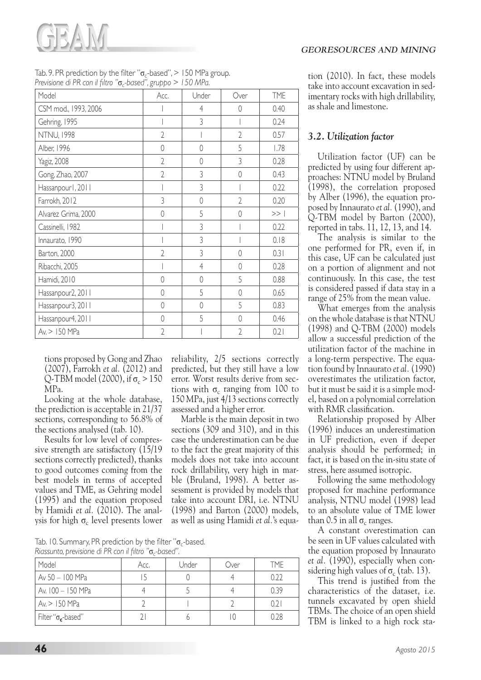

| Tab. 9. PR prediction by the filter " $\sigma_c$ -based", $>150$ MPa group. |  |
|-----------------------------------------------------------------------------|--|
| Previsione di PR con il filtro " $\sigma_c$ -based", gruppo > 150 MPa.      |  |

| Model                | Acc.           | Under          | Over           | <b>TME</b> |
|----------------------|----------------|----------------|----------------|------------|
| CSM mod., 1993, 2006 |                | 4              | 0              | 0.40       |
| Gehring, 1995        |                | 3              |                | 0.24       |
| <b>NTNU, 1998</b>    | $\overline{2}$ |                | $\overline{2}$ | 0.57       |
| Alber, 1996          | $\overline{0}$ | $\overline{0}$ | 5              | 1.78       |
| Yagiz, 2008          | $\overline{2}$ | 0              | 3              | 0.28       |
| Gong, Zhao, 2007     | $\overline{2}$ | 3              | $\overline{0}$ | 0.43       |
| Hassanpourl, 2011    |                | 3              |                | 0.22       |
| Farrokh, 2012        | 3              | $\mathbf 0$    | $\overline{2}$ | 0.20       |
| Alvarez Grima, 2000  | $\overline{0}$ | 5              | 0              | >>         |
| Cassinelli, 1982     |                | 3              |                | 0.22       |
| Innaurato, 1990      |                | 3              |                | 0.18       |
| Barton, 2000         | $\overline{2}$ | 3              | $\mathbf{0}$   | 0.31       |
| Ribacchi, 2005       |                | $\overline{4}$ | $\overline{0}$ | 0.28       |
| Hamidi, 2010         | $\overline{0}$ | $\overline{0}$ | 5              | 0.88       |
| Hassanpour2, 2011    | 0              | 5              | $\overline{0}$ | 0.65       |
| Hassanpour3, 2011    | $\mathbf 0$    | 0              | 5              | 0.83       |
| Hassanpour4, 2011    | 0              | 5              | $\Omega$       | 0.46       |
| Av. > 150 MPa        | $\overline{2}$ |                | $\overline{2}$ | 0.21       |

tions proposed by Gong and Zhao (2007), Farrokh *et al.* (2012) and Q-TBM model (2000), if  $\sigma_c > 150$ MPa.

Looking at the whole database, the prediction is acceptable in 21/37 sections, corresponding to 56.8% of the sections analysed (tab. 10).

Results for low level of compressive strength are satisfactory (15/19 sections correctly predicted), thanks to good outcomes coming from the best models in terms of accepted values and TME, as Gehring model (1995) and the equation proposed by Hamidi *et al.* (2010). The analysis for high  $\sigma_c$  level presents lower

reliability, 2/5 sections correctly predicted, but they still have a low error. Worst results derive from sections with  $\sigma_c$  ranging from 100 to 150 MPa, just 4/13 sections correctly assessed and a higher error.

Marble is the main deposit in two sections (309 and 310), and in this case the underestimation can be due to the fact the great majority of this models does not take into account rock drillability, very high in marble (Bruland, 1998). A better assessment is provided by models that take into account DRI, i.e. NTNU (1998) and Barton (2000) models, as well as using Hamidi *et al.*'s equa-

Tab. 10. Summary, PR prediction by the filter " $\sigma_c$ -based. *Riassunto, previsione di PR con il filtro "o<sub>c-</sub>based".* 

| Model                             | Acc. | Under | Over | TMF  |
|-----------------------------------|------|-------|------|------|
| Av 50 - 100 MPa                   |      |       |      | 0.22 |
| Av. 100 - 150 MPa                 |      |       |      | 039  |
| Av > 150 MPa                      |      |       |      | 0.21 |
| Filter " $\sigma_{\rm c}$ -based" |      |       |      | 0.28 |

tion (2010). In fact, these models take into account excavation in sedimentary rocks with high drillability, as shale and limestone.

#### *3.2. Utilization factor*

Utilization factor (UF) can be predicted by using four different approaches: NTNU model by Bruland (1998), the correlation proposed by Alber (1996), the equation proposed by Innaurato *et al.* (1990), and Q-TBM model by Barton (2000), reported in tabs. 11, 12, 13, and 14.

The analysis is similar to the one performed for PR, even if, in this case, UF can be calculated just on a portion of alignment and not continuously. In this case, the test is considered passed if data stay in a range of 25% from the mean value.

What emerges from the analysis on the whole database is that NTNU (1998) and Q-TBM (2000) models allow a successful prediction of the utilization factor of the machine in a long-term perspective. The equation found by Innaurato *et al.* (1990) overestimates the utilization factor, but it must be said it is a simple model, based on a polynomial correlation with RMR classification.

Relationship proposed by Alber (1996) induces an underestimation in UF prediction, even if deeper analysis should be performed; in fact, it is based on the in-situ state of stress, here assumed isotropic.

Following the same methodology proposed for machine performance analysis, NTNU model (1998) lead to an absolute value of TME lower than 0.5 in all  $\sigma_c$  ranges.

A constant overestimation can be seen in UF values calculated with the equation proposed by Innaurato *et al.* (1990), especially when considering high values of  $\sigma_c$  (tab. 13).

This trend is justified from the characteristics of the dataset, i.e. tunnels excavated by open shield TBMs. The choice of an open shield TBM is linked to a high rock sta-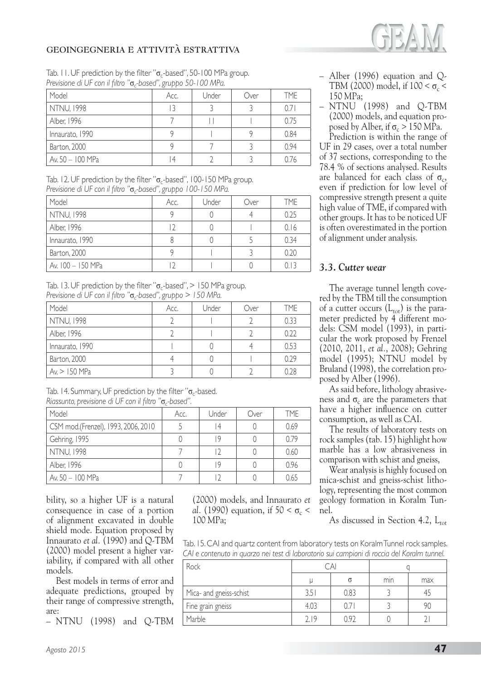

Tab. 11. UF prediction by the filter " $\sigma_c$ -based", 50-100 MPa group. *Previsione di UF con il filtro "*ı*c-based", gruppo 50-100 MPa.*

| Model             | Acc.           | Under | Over | TME  |
|-------------------|----------------|-------|------|------|
| <b>NTNU, 1998</b> | 13             |       |      | 0.71 |
| Alber, 1996       |                |       |      | 0.75 |
| Innaurato, 1990   |                |       |      | 0.84 |
| Barton, 2000      |                |       |      | 0.94 |
| Av. 50 - 100 MPa  | $\overline{4}$ |       |      | 0.76 |

Tab. 12. UF prediction by the filter " $\sigma_c$ -based", 100-150 MPa group. Previsione di UF con il filtro "o<sub>c-</sub>based", gruppo 100-150 MPa.

| Model             | Acc. | Under | Over | TME  |
|-------------------|------|-------|------|------|
| <b>NTNU, 1998</b> |      |       |      | 0.25 |
| Alber, 1996       |      |       |      | 0.16 |
| Innaurato, 1990   |      |       |      | 0.34 |
| Barton, 2000      |      |       |      | 0.20 |
| Av. 100 - 150 MPa |      |       |      |      |

Tab. 13. UF prediction by the filter " $\sigma_c$ -based", > 150 MPa group. *Previsione di UF con il filtro "*ı*c-based", gruppo > 150 MPa.*

| Model             | Acc. | Under | Over | TME  |
|-------------------|------|-------|------|------|
| <b>NTNU, 1998</b> |      |       |      | 0.33 |
| Alber, 1996       |      |       |      | 0.22 |
| Innaurato, 1990   |      |       |      | 0.53 |
| Barton, 2000      |      |       |      | 0.29 |
| Av. > 150 MPa     |      |       |      | 0.28 |

Tab. 14. Summary, UF prediction by the filter " $\sigma_c$ -based. *Riassunto, previsione di UF con il filtro "*ı*c-based".*

| Model                               | Acc. | Under | Over | TMF  |
|-------------------------------------|------|-------|------|------|
| CSM mod.(Frenzel), 1993, 2006, 2010 |      | 14    |      | 0.69 |
| Gehring, 1995                       |      | 19    |      | 0.79 |
| <b>NTNU, 1998</b>                   |      |       |      | 0.60 |
| Alber, 1996                         |      | ١q    |      | 0.96 |
| Av. 50 $-100$ MPa                   |      |       |      | 0.65 |

bility, so a higher UF is a natural consequence in case of a portion of alignment excavated in double shield mode. Equation proposed by Innaurato *et al.* (1990) and Q-TBM (2000) model present a higher variability, if compared with all other models.

Best models in terms of error and adequate predictions, grouped by their range of compressive strength, are:

– NTNU (1998) and Q-TBM

(2000) models, and Innaurato *et al.* (1990) equation, if  $50 < \sigma_c$ 100 MPa;

- Alber (1996) equation and Q-TBM (2000) model, if  $100 < \sigma_c$ 150 MPa;
- NTNU (1998) and Q-TBM (2000) models, and equation proposed by Alber, if  $\sigma_c > 150$  MPa.

Prediction is within the range of UF in 29 cases, over a total number of 37 sections, corresponding to the 78.4 % of sections analysed. Results are balanced for each class of  $\sigma_c$ , even if prediction for low level of compressive strength present a quite high value of TME, if compared with other groups. It has to be noticed UF is often overestimated in the portion of alignment under analysis.

#### *3.3. Cutter wear*

The average tunnel length covered by the TBM till the consumption of a cutter occurs  $(L_{\text{tot}})$  is the parameter predicted by 4 different models: CSM model (1993), in particular the work proposed by Frenzel (2010, 2011, *et al.*, 2008); Gehring model (1995); NTNU model by Bruland (1998), the correlation proposed by Alber (1996).

As said before, lithology abrasiveness and  $\sigma_c$  are the parameters that have a higher influence on cutter consumption, as well as CAI.

The results of laboratory tests on rock samples (tab. 15) highlight how marble has a low abrasiveness in comparison with schist and gneiss,

Wear analysis is highly focused on mica-schist and gneiss-schist lithology, representing the most common geology formation in Koralm Tunnel.

As discussed in Section 4.2,  $L_{\text{tot}}$ 

Tab. 15. CAI and quartz content from laboratory tests on Koralm Tunnel rock samples. *CAI e contenuto in quarzo nei test di laboratorio sui campioni di roccia del Koralm tunnel.*

| Rock                    | $\cap$ Al |      |     |     |
|-------------------------|-----------|------|-----|-----|
|                         |           |      | min | max |
| Mica- and gneiss-schist | 3.51      | 0.83 |     |     |
| Fine grain gneiss       | 4.03      |      |     |     |
| Marble                  | 719       | 797  |     |     |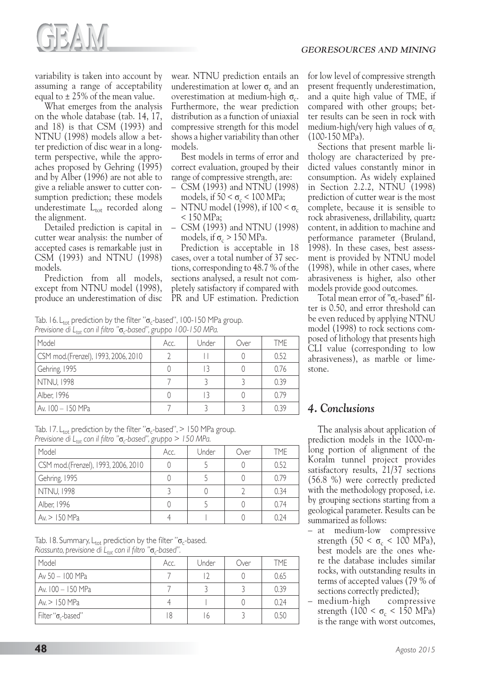

variability is taken into account by assuming a range of acceptability equal to ± 25% of the mean value.

What emerges from the analysis on the whole database (tab. 14, 17, and 18) is that CSM (1993) and NTNU (1998) models allow a better prediction of disc wear in a longterm perspective, while the approaches proposed by Gehring (1995) and by Alber (1996) are not able to give a reliable answer to cutter consumption prediction; these models underestimate  $L_{\text{tot}}$  recorded along the alignment.

Detailed prediction is capital in cutter wear analysis: the number of accepted cases is remarkable just in CSM (1993) and NTNU (1998) models.

Prediction from all models, except from NTNU model (1998), produce an underestimation of disc

wear. NTNU prediction entails an underestimation at lower  $\sigma_c$  and an overestimation at medium-high  $\sigma_c$ . Furthermore, the wear prediction distribution as a function of uniaxial compressive strength for this model shows a higher variability than other models.

Best models in terms of error and correct evaluation, grouped by their range of compressive strength, are:

- CSM (1993) and NTNU (1998) models, if  $50 < \sigma_c < 100$  MPa;
- NTNU model (1998), if  $100 < \sigma_c$ < 150 MPa;
- CSM (1993) and NTNU (1998) models, if  $\sigma_c > 150$  MPa.

Prediction is acceptable in 18 cases, over a total number of 37 sections, corresponding to 48.7 % of the sections analysed, a result not completely satisfactory if compared with PR and UF estimation. Prediction

Tab. 16. L<sub>tot</sub> prediction by the filter " $\sigma_c$ -based", 100-150 MPa group. Previsione di L<sub>tot</sub> con il filtro "o<sub>c-</sub>based", gruppo 100-150 MPa.

| Model                               | Acc. | Under | Over | TME  |
|-------------------------------------|------|-------|------|------|
| CSM mod.(Frenzel), 1993, 2006, 2010 |      |       |      | 0.52 |
| Gehring, 1995                       |      |       |      | 0.76 |
| NTNU, 1998                          |      |       |      | 0.39 |
| Alber, 1996                         |      |       |      | 0.79 |
| Av. 100 – 150 MPa                   |      |       |      | 0.39 |

Tab. 17. L<sub>tot</sub> prediction by the filter " $\sigma_c$ -based", > 150 MPa group. *Previsione di L<sub>tot</sub> con il filtro "* $\sigma_c$ -based", gruppo > 150 MPa.

| Model                               | Acc. | Under | Over | TMF  |
|-------------------------------------|------|-------|------|------|
| CSM mod.(Frenzel), 1993, 2006, 2010 |      |       |      | 0.52 |
| Gehring, 1995                       |      |       |      | 0.79 |
| <b>NTNU, 1998</b>                   |      |       |      | 0.34 |
| Alber, 1996                         |      |       |      | 0.74 |
| Av > 150 MPa                        |      |       |      | በ 24 |

Tab. 18. Summary,  $L_{tot}$  prediction by the filter " $\sigma_c$ -based. *Riassunto, previsione di L<sub>tot</sub> con il filtro "* $\sigma_c$ -based".

| Model                       | Acc. | Under | Over | <b>TME</b> |
|-----------------------------|------|-------|------|------------|
| Av 50 - 100 MPa             |      |       |      | 0.65       |
| Av. 100 - 150 MPa           |      |       |      | 0.39       |
| Av > 150 MPa                |      |       |      | 0.24       |
| Filter " $\sigma_c$ -based" | 8    | 16    |      | 0.50       |

for low level of compressive strength present frequently underestimation, and a quite high value of TME, if compared with other groups; better results can be seen in rock with medium-high/very high values of  $\sigma_c$ (100-150 MPa).

Sections that present marble lithology are characterized by predicted values constantly minor in consumption. As widely explained in Section 2.2.2, NTNU (1998) prediction of cutter wear is the most complete, because it is sensible to rock abrasiveness, drillability, quartz content, in addition to machine and performance parameter (Bruland, 1998). In these cases, best assessment is provided by NTNU model (1998), while in other cases, where abrasiveness is higher, also other models provide good outcomes.

Total mean error of " $\sigma_c$ -based" filter is 0.50, and error threshold can be even reduced by applying NTNU model (1998) to rock sections composed of lithology that presents high CLI value (corresponding to low abrasiveness), as marble or limestone.

## *4. Conclusions*

The analysis about application of prediction models in the 1000-mlong portion of alignment of the Koralm tunnel project provides satisfactory results, 21/37 sections (56.8 %) were correctly predicted with the methodology proposed, i.e. by grouping sections starting from a geological parameter. Results can be summarized as follows:

- at medium-low compressive strength  $(50 < \sigma_c < 100 \text{ MPa})$ , best models are the ones where the database includes similar rocks, with outstanding results in terms of accepted values (79 % of sections correctly predicted);
- medium-high compressive strength (100 <  $\sigma_c$  < 150 MPa) is the range with worst outcomes,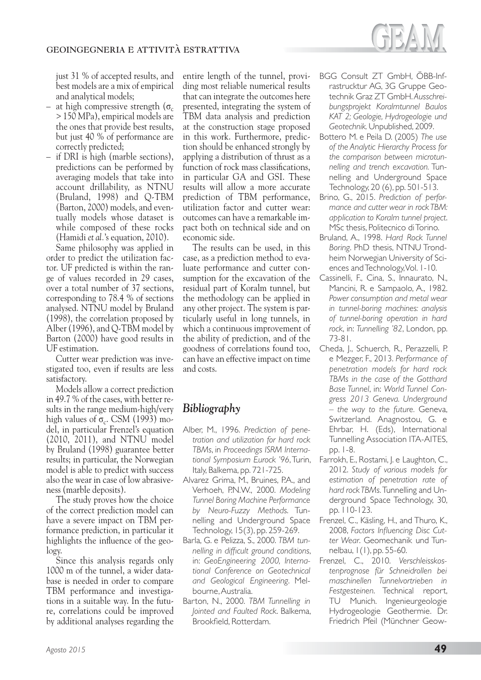

just 31 % of accepted results, and best models are a mix of empirical and analytical models;

- at high compressive strength  $(\sigma_c)$ > 150 MPa), empirical models are the ones that provide best results, but just 40 % of performance are correctly predicted;
- if DRI is high (marble sections), predictions can be performed by averaging models that take into account drillability, as NTNU (Bruland, 1998) and Q-TBM (Barton, 2000) models, and eventually models whose dataset is while composed of these rocks (Hamidi *et al.*'s equation, 2010).

Same philosophy was applied in order to predict the utilization factor. UF predicted is within the range of values recorded in 29 cases, over a total number of 37 sections, corresponding to 78.4 % of sections analysed. NTNU model by Bruland (1998), the correlation proposed by Alber (1996), and Q-TBM model by Barton (2000) have good results in UF estimation.

Cutter wear prediction was investigated too, even if results are less satisfactory.

Models allow a correct prediction in 49.7 % of the cases, with better results in the range medium-high/very high values of  $\sigma_c$ . CSM (1993) model, in particular Frenzel's equation (2010, 2011), and NTNU model by Bruland (1998) guarantee better results; in particular, the Norwegian model is able to predict with success also the wear in case of low abrasiveness (marble deposits).

The study proves how the choice of the correct prediction model can have a severe impact on TBM performance prediction, in particular it highlights the influence of the geology.

Since this analysis regards only 1000 m of the tunnel, a wider database is needed in order to compare TBM performance and investigations in a suitable way. In the future, correlations could be improved by additional analyses regarding the entire length of the tunnel, providing most reliable numerical results that can integrate the outcomes here presented, integrating the system of TBM data analysis and prediction at the construction stage proposed in this work. Furthermore, prediction should be enhanced strongly by applying a distribution of thrust as a function of rock mass classifications, in particular GA and GSI. These results will allow a more accurate prediction of TBM performance, utilization factor and cutter wear: outcomes can have a remarkable impact both on technical side and on economic side.

The results can be used, in this case, as a prediction method to evaluate performance and cutter consumption for the excavation of the residual part of Koralm tunnel, but the methodology can be applied in any other project. The system is particularly useful in long tunnels, in which a continuous improvement of the ability of prediction, and of the goodness of correlations found too, can have an effective impact on time and costs.

## *Bibliography*

- Alber, M., 1996. *Prediction of penetration and utilization for hard rock TBMs*, in *Proceedings ISRM International Symposium Eurock '96*, Turin, Italy, Balkema, pp. 721-725.
- Alvarez Grima, M., Bruines, P.A., and Verhoeh, P.N.W., 2000. *Modeling Tunnel Boring Machine Performance by Neuro-Fuzzy Methods*. Tunnelling and Underground Space Technology, 15(3), pp. 259-269.
- Barla, G. e Pelizza, S., 2000. *TBM tunnelling in difficult ground conditions*, in: *GeoEngineering 2000, International Conference on Geotechnical and Geological Engineering*. Melbourne, Australia.
- Barton, N., 2000. *TBM Tunnelling in Jointed and Faulted Rock*. Balkema, Brookfield, Rotterdam.
- BGG Consult ZT GmbH, ÖBB-Infrastrucktur AG, 3G Gruppe Geotechnik Graz ZT GmbH. *Ausschreibungsprojekt Koralmtunnel Baulos KAT 2; Geologie, Hydrogeologie und Geotechnik.* Unpublished, 2009.
- Bottero M. e Peila D. (2005) *The use of the Analytic Hierarchy Process for the comparison between microtunnelling and trench excavation.* Tunnelling and Underground Space Technology, 20 (6), pp. 501-513.
- Brino, G., 2015. *Prediction of performance and cutter wear in rock TBM: application to Koralm tunnel project*. MSc thesis, Politecnico di Torino.
- Bruland, A., 1998. *Hard Rock Tunnel Boring*. PhD thesis, NTNU Trondheim Norwegian University of Sciences and Technology, Vol. 1-10.
- Cassinelli, F., Cina, S., Innaurato, N., Mancini, R. e Sampaolo, A., 1982. *Power consumption and metal wear in tunnel-boring machines: analysis of tunnel-boring operation in hard rock*, in: *Tunnelling '82*, London, pp. 73-81.
- Cheda, J., Schuerch, R., Perazzelli, P. e Mezger, F., 2013. *Performance of penetration models for hard rock TBMs in the case of the Gotthard Base Tunnel*, in: *World Tunnel Congress 2013 Geneva. Underground – the way to the future.* Geneva, Switzerland. Anagnostou, G. e Ehrbar, H. (Eds), International Tunnelling Association ITA-AITES, pp. 1-8.
- Farrokh, E., Rostami, J. e Laughton, C., 2012. *Study of various models for estimation of penetration rate of hard rock TBMs.* Tunnelling and Underground Space Technology, 30, pp. 110-123.
- Frenzel, C., Käsling, H., and Thuro, K., 2008, *Factors Influencing Disc Cutter Wear*. Geomechanik und Tunnelbau, 1(1), pp. 55-60.
- Frenzel, C., 2010. *Verschleisskostenprognose für Schneidrollen bei maschinellen Tunnelvortrieben in Festgesteinen*. Technical report, TU Munich. Ingenieurgeologie Hydrogeologie Geothermie. Dr. Friedrich Pfeil (Münchner Geow-